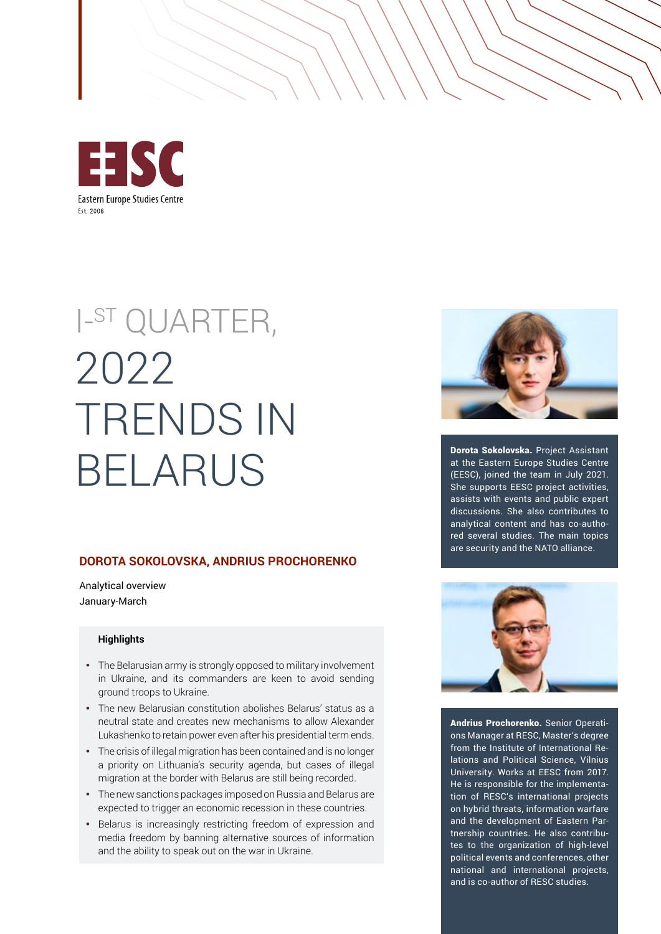

# I-ST QUARTER, 2022 TRENDS IN BELARUS

#### **DOROTA SOKOLOVSKA, ANDRIUS PROCHORENKO**

Analytical overview January-March

#### **Highlights**

- The Belarusian army is strongly opposed to military involvement in Ukraine, and its commanders are keen to avoid sending ground troops to Ukraine.
- The new Belarusian constitution abolishes Belarus' status as a neutral state and creates new mechanisms to allow Alexander Lukashenko to retain power even after his presidential term ends.
- The crisis of illegal migration has been contained and is no longer a priority on Lithuania's security agenda, but cases of illegal migration at the border with Belarus are still being recorded.
- The new sanctions packages imposed on Russia and Belarus are expected to trigger an economic recession in these countries.
- Belarus is increasingly restricting freedom of expression and media freedom by banning alternative sources of information and the ability to speak out on the war in Ukraine.



Dorota Sokolovska. Project Assistant at the Eastern Europe Studies Centre (EESC), joined the team in July 2021. She supports EESC project activities, assists with events and public expert discussions. She also contributes to analytical content and has co-authored several studies. The main topics are security and the NATO alliance.



Andrius Prochorenko. Senior Operations Manager at RESC, Master's degree from the Institute of International Relations and Political Science, Vilnius University. Works at EESC from 2017. He is responsible for the implementation of RESC's international projects on hybrid threats, information warfare and the development of Eastern Partnership countries. He also contributes to the organization of high-level political events and conferences, other national and international projects, and is co-author of RESC studies.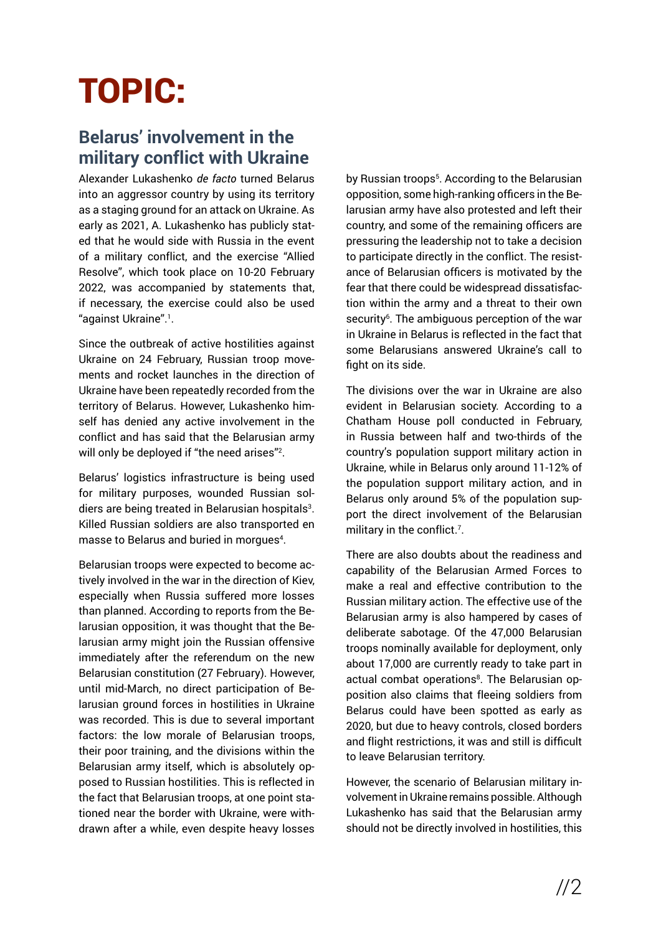## TOPIC:

## **Belarus' involvement in the military conflict with Ukraine**

Alexander Lukashenko *de facto* turned Belarus into an aggressor country by using its territory as a staging ground for an attack on Ukraine. As early as 2021, A. Lukashenko has publicly stated that he would side with Russia in the event of a military conflict, and the exercise "Allied Resolve", which took place on 10-20 February 2022, was accompanied by statements that, if necessary, the exercise could also be used "against Ukraine".<sup>1</sup> .

Since the outbreak of active hostilities against Ukraine on 24 February, Russian troop movements and rocket launches in the direction of Ukraine have been repeatedly recorded from the territory of Belarus. However, Lukashenko himself has denied any active involvement in the conflict and has said that the Belarusian army will only be deployed if "the need arises"<sup>2</sup>.

Belarus' logistics infrastructure is being used for military purposes, wounded Russian soldiers are being treated in Belarusian hospitals<sup>3</sup>. Killed Russian soldiers are also transported en masse to Belarus and buried in morgues<sup>4</sup>.

Belarusian troops were expected to become actively involved in the war in the direction of Kiev, especially when Russia suffered more losses than planned. According to reports from the Belarusian opposition, it was thought that the Belarusian army might join the Russian offensive immediately after the referendum on the new Belarusian constitution (27 February). However, until mid-March, no direct participation of Belarusian ground forces in hostilities in Ukraine was recorded. This is due to several important factors: the low morale of Belarusian troops, their poor training, and the divisions within the Belarusian army itself, which is absolutely opposed to Russian hostilities. This is reflected in the fact that Belarusian troops, at one point stationed near the border with Ukraine, were withdrawn after a while, even despite heavy losses

by Russian troops<sup>5</sup>. According to the Belarusian opposition, some high-ranking officers in the Belarusian army have also protested and left their country, and some of the remaining officers are pressuring the leadership not to take a decision to participate directly in the conflict. The resistance of Belarusian officers is motivated by the fear that there could be widespread dissatisfaction within the army and a threat to their own security<sup>6</sup>. The ambiguous perception of the war in Ukraine in Belarus is reflected in the fact that some Belarusians answered Ukraine's call to fight on its side.

The divisions over the war in Ukraine are also evident in Belarusian society. According to a Chatham House poll conducted in February, in Russia between half and two-thirds of the country's population support military action in Ukraine, while in Belarus only around 11-12% of the population support military action, and in Belarus only around 5% of the population support the direct involvement of the Belarusian military in the conflict.<sup>7</sup>.

There are also doubts about the readiness and capability of the Belarusian Armed Forces to make a real and effective contribution to the Russian military action. The effective use of the Belarusian army is also hampered by cases of deliberate sabotage. Of the 47,000 Belarusian troops nominally available for deployment, only about 17,000 are currently ready to take part in actual combat operations<sup>8</sup>. The Belarusian opposition also claims that fleeing soldiers from Belarus could have been spotted as early as 2020, but due to heavy controls, closed borders and flight restrictions, it was and still is difficult to leave Belarusian territory.

However, the scenario of Belarusian military involvement in Ukraine remains possible. Although Lukashenko has said that the Belarusian army should not be directly involved in hostilities, this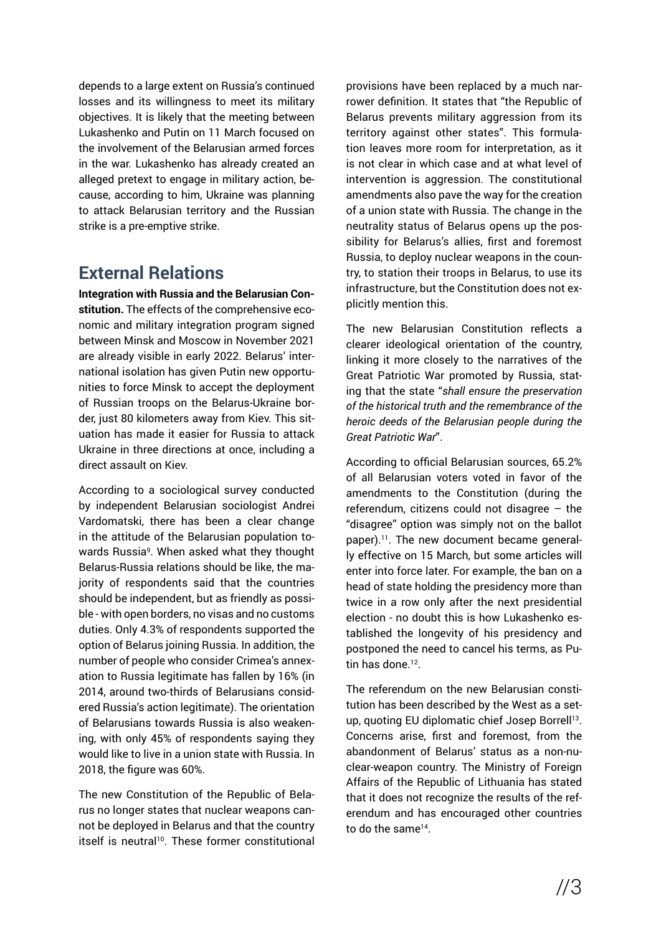depends to a large extent on Russia's continued losses and its willingness to meet its military objectives. It is likely that the meeting between Lukashenko and Putin on 11 March focused on the involvement of the Belarusian armed forces in the war. Lukashenko has already created an alleged pretext to engage in military action, because, according to him, Ukraine was planning to attack Belarusian territory and the Russian strike is a pre-emptive strike.

### **External Relations**

**Integration with Russia and the Belarusian Constitution.** The effects of the comprehensive economic and military integration program signed between Minsk and Moscow in November 2021 are already visible in early 2022. Belarus' international isolation has given Putin new opportunities to force Minsk to accept the deployment of Russian troops on the Belarus-Ukraine border, just 80 kilometers away from Kiev. This situation has made it easier for Russia to attack Ukraine in three directions at once, including a direct assault on Kiev.

According to a sociological survey conducted by independent Belarusian sociologist Andrei Vardomatski, there has been a clear change in the attitude of the Belarusian population towards Russia<sup>9</sup>. When asked what they thought Belarus-Russia relations should be like, the majority of respondents said that the countries should be independent, but as friendly as possible - with open borders, no visas and no customs duties. Only 4.3% of respondents supported the option of Belarus joining Russia. In addition, the number of people who consider Crimea's annexation to Russia legitimate has fallen by 16% (in 2014, around two-thirds of Belarusians considered Russia's action legitimate). The orientation of Belarusians towards Russia is also weakening, with only 45% of respondents saying they would like to live in a union state with Russia. In 2018, the figure was 60%.

The new Constitution of the Republic of Belarus no longer states that nuclear weapons cannot be deployed in Belarus and that the country itself is neutral<sup>10</sup>. These former constitutional provisions have been replaced by a much narrower definition. It states that "the Republic of Belarus prevents military aggression from its territory against other states". This formulation leaves more room for interpretation, as it is not clear in which case and at what level of intervention is aggression. The constitutional amendments also pave the way for the creation of a union state with Russia. The change in the neutrality status of Belarus opens up the possibility for Belarus's allies, first and foremost Russia, to deploy nuclear weapons in the country, to station their troops in Belarus, to use its infrastructure, but the Constitution does not explicitly mention this.

The new Belarusian Constitution reflects a clearer ideological orientation of the country, linking it more closely to the narratives of the Great Patriotic War promoted by Russia, stating that the state "*shall ensure the preservation of the historical truth and the remembrance of the heroic deeds of the Belarusian people during the Great Patriotic War*".

According to official Belarusian sources, 65.2% of all Belarusian voters voted in favor of the amendments to the Constitution (during the referendum, citizens could not disagree – the "disagree" option was simply not on the ballot paper).<sup>11</sup>. The new document became generally effective on 15 March, but some articles will enter into force later. For example, the ban on a head of state holding the presidency more than twice in a row only after the next presidential election - no doubt this is how Lukashenko established the longevity of his presidency and postponed the need to cancel his terms, as Putin has done  $12$ .

The referendum on the new Belarusian constitution has been described by the West as a setup, quoting EU diplomatic chief Josep Borrell<sup>13</sup>. Concerns arise, first and foremost, from the abandonment of Belarus' status as a non-nuclear-weapon country. The Ministry of Foreign Affairs of the Republic of Lithuania has stated that it does not recognize the results of the referendum and has encouraged other countries to do the same<sup>14</sup>.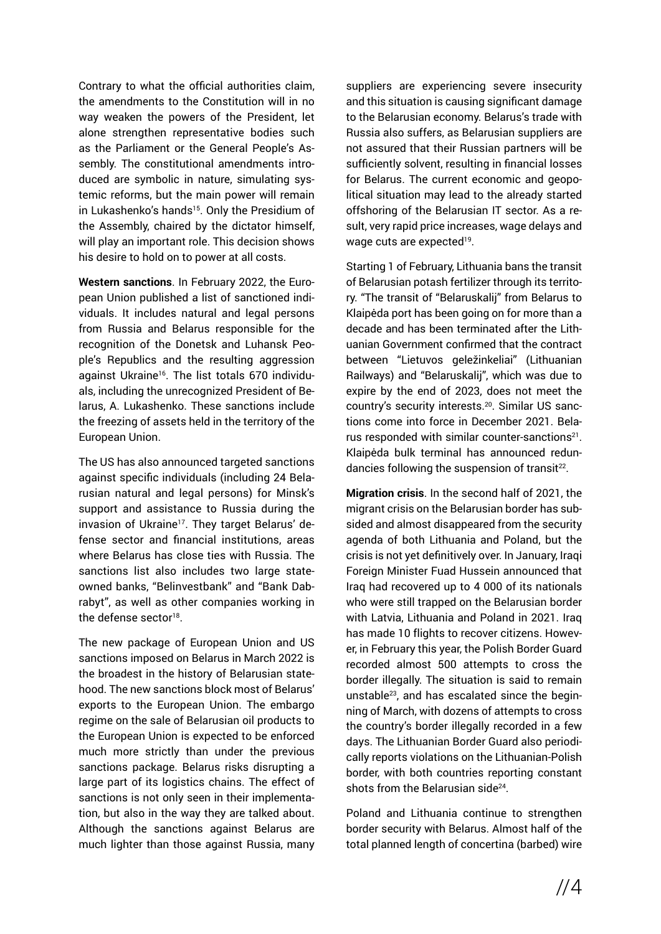Contrary to what the official authorities claim, the amendments to the Constitution will in no way weaken the powers of the President, let alone strengthen representative bodies such as the Parliament or the General People's Assembly. The constitutional amendments introduced are symbolic in nature, simulating systemic reforms, but the main power will remain in Lukashenko's hands<sup>15</sup>. Only the Presidium of the Assembly, chaired by the dictator himself, will play an important role. This decision shows his desire to hold on to power at all costs.

**Western sanctions**. In February 2022, the European Union published a list of sanctioned individuals. It includes natural and legal persons from Russia and Belarus responsible for the recognition of the Donetsk and Luhansk People's Republics and the resulting aggression against Ukraine<sup>16</sup>. The list totals 670 individuals, including the unrecognized President of Belarus, A. Lukashenko. These sanctions include the freezing of assets held in the territory of the European Union.

The US has also announced targeted sanctions against specific individuals (including 24 Belarusian natural and legal persons) for Minsk's support and assistance to Russia during the invasion of Ukraine<sup>17</sup>. They target Belarus' defense sector and financial institutions, areas where Belarus has close ties with Russia. The sanctions list also includes two large stateowned banks, "Belinvestbank" and "Bank Dabrabyt", as well as other companies working in the defense sector<sup>18</sup>.

The new package of European Union and US sanctions imposed on Belarus in March 2022 is the broadest in the history of Belarusian statehood. The new sanctions block most of Belarus' exports to the European Union. The embargo regime on the sale of Belarusian oil products to the European Union is expected to be enforced much more strictly than under the previous sanctions package. Belarus risks disrupting a large part of its logistics chains. The effect of sanctions is not only seen in their implementation, but also in the way they are talked about. Although the sanctions against Belarus are much lighter than those against Russia, many suppliers are experiencing severe insecurity and this situation is causing significant damage to the Belarusian economy. Belarus's trade with Russia also suffers, as Belarusian suppliers are not assured that their Russian partners will be sufficiently solvent, resulting in financial losses for Belarus. The current economic and geopolitical situation may lead to the already started offshoring of the Belarusian IT sector. As a result, very rapid price increases, wage delays and wage cuts are expected<sup>19</sup>.

Starting 1 of February, Lithuania bans the transit of Belarusian potash fertilizer through its territory. "The transit of "Belaruskalij" from Belarus to Klaipėda port has been going on for more than a decade and has been terminated after the Lithuanian Government confirmed that the contract between "Lietuvos geležinkeliai" (Lithuanian Railways) and "Belaruskalij", which was due to expire by the end of 2023, does not meet the country's security interests.20. Similar US sanctions come into force in December 2021. Belarus responded with similar counter-sanctions<sup>21</sup>. Klaipėda bulk terminal has announced redundancies following the suspension of transit $22$ .

**Migration crisis**. In the second half of 2021, the migrant crisis on the Belarusian border has subsided and almost disappeared from the security agenda of both Lithuania and Poland, but the crisis is not yet definitively over. In January, Iraqi Foreign Minister Fuad Hussein announced that Iraq had recovered up to 4 000 of its nationals who were still trapped on the Belarusian border with Latvia, Lithuania and Poland in 2021. Iraq has made 10 flights to recover citizens. However, in February this year, the Polish Border Guard recorded almost 500 attempts to cross the border illegally. The situation is said to remain unstable23, and has escalated since the beginning of March, with dozens of attempts to cross the country's border illegally recorded in a few days. The Lithuanian Border Guard also periodically reports violations on the Lithuanian-Polish border, with both countries reporting constant shots from the Belarusian side<sup>24</sup>.

Poland and Lithuania continue to strengthen border security with Belarus. Almost half of the total planned length of concertina (barbed) wire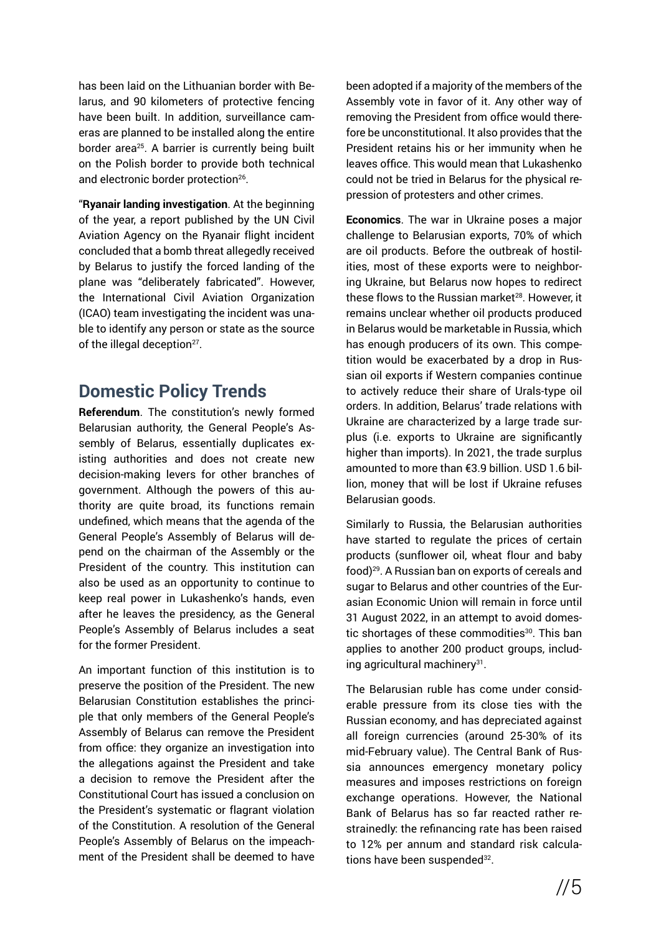has been laid on the Lithuanian border with Belarus, and 90 kilometers of protective fencing have been built. In addition, surveillance cameras are planned to be installed along the entire border area<sup>25</sup>. A barrier is currently being built on the Polish border to provide both technical and electronic border protection<sup>26</sup>.

"**Ryanair landing investigation**. At the beginning of the year, a report published by the UN Civil Aviation Agency on the Ryanair flight incident concluded that a bomb threat allegedly received by Belarus to justify the forced landing of the plane was "deliberately fabricated". However, the International Civil Aviation Organization (ICAO) team investigating the incident was unable to identify any person or state as the source of the illegal deception<sup>27</sup>.

### **Domestic Policy Trends**

**Referendum**. The constitution's newly formed Belarusian authority, the General People's Assembly of Belarus, essentially duplicates existing authorities and does not create new decision-making levers for other branches of government. Although the powers of this authority are quite broad, its functions remain undefined, which means that the agenda of the General People's Assembly of Belarus will depend on the chairman of the Assembly or the President of the country. This institution can also be used as an opportunity to continue to keep real power in Lukashenko's hands, even after he leaves the presidency, as the General People's Assembly of Belarus includes a seat for the former President.

An important function of this institution is to preserve the position of the President. The new Belarusian Constitution establishes the principle that only members of the General People's Assembly of Belarus can remove the President from office: they organize an investigation into the allegations against the President and take a decision to remove the President after the Constitutional Court has issued a conclusion on the President's systematic or flagrant violation of the Constitution. A resolution of the General People's Assembly of Belarus on the impeachment of the President shall be deemed to have been adopted if a majority of the members of the Assembly vote in favor of it. Any other way of removing the President from office would therefore be unconstitutional. It also provides that the President retains his or her immunity when he leaves office. This would mean that Lukashenko could not be tried in Belarus for the physical repression of protesters and other crimes.

**Economics**. The war in Ukraine poses a major challenge to Belarusian exports, 70% of which are oil products. Before the outbreak of hostilities, most of these exports were to neighboring Ukraine, but Belarus now hopes to redirect these flows to the Russian market<sup>28</sup>. However, it remains unclear whether oil products produced in Belarus would be marketable in Russia, which has enough producers of its own. This competition would be exacerbated by a drop in Russian oil exports if Western companies continue to actively reduce their share of Urals-type oil orders. In addition, Belarus' trade relations with Ukraine are characterized by a large trade surplus (i.e. exports to Ukraine are significantly higher than imports). In 2021, the trade surplus amounted to more than €3.9 billion. USD 1.6 billion, money that will be lost if Ukraine refuses Belarusian goods.

Similarly to Russia, the Belarusian authorities have started to regulate the prices of certain products (sunflower oil, wheat flour and baby food)29. A Russian ban on exports of cereals and sugar to Belarus and other countries of the Eurasian Economic Union will remain in force until 31 August 2022, in an attempt to avoid domestic shortages of these commodities<sup>30</sup>. This ban applies to another 200 product groups, including agricultural machinery<sup>31</sup>.

The Belarusian ruble has come under considerable pressure from its close ties with the Russian economy, and has depreciated against all foreign currencies (around 25-30% of its mid-February value). The Central Bank of Russia announces emergency monetary policy measures and imposes restrictions on foreign exchange operations. However, the National Bank of Belarus has so far reacted rather restrainedly: the refinancing rate has been raised to 12% per annum and standard risk calculations have been suspended<sup>32</sup>.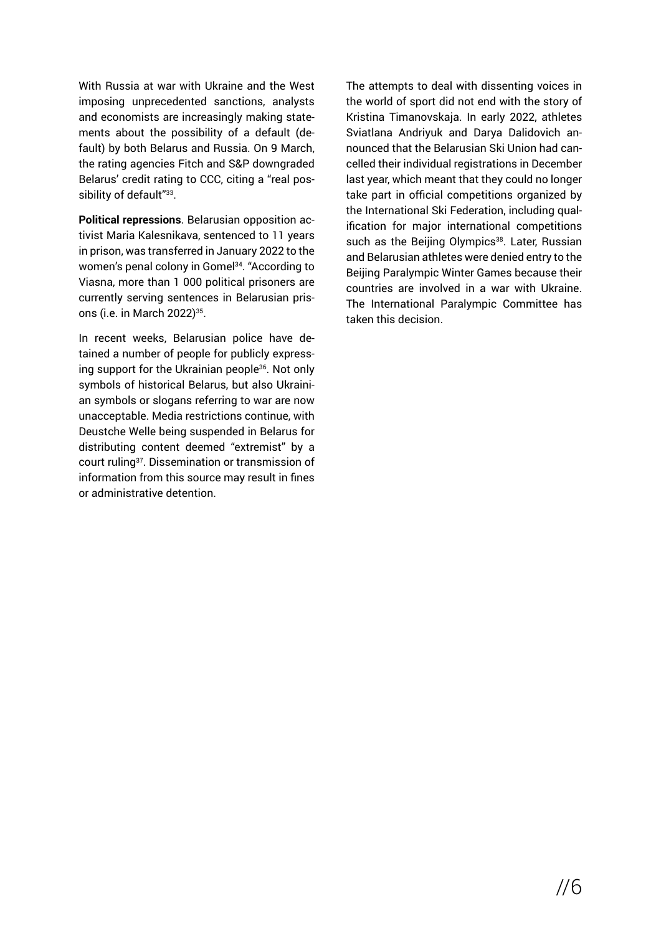With Russia at war with Ukraine and the West imposing unprecedented sanctions, analysts and economists are increasingly making statements about the possibility of a default (default) by both Belarus and Russia. On 9 March, the rating agencies Fitch and S&P downgraded Belarus' credit rating to CCC, citing a "real possibility of default"<sup>33</sup>.

**Political repressions**. Belarusian opposition activist Maria Kalesnikava, sentenced to 11 years in prison, was transferred in January 2022 to the women's penal colony in Gomel<sup>34</sup>. "According to Viasna, more than 1 000 political prisoners are currently serving sentences in Belarusian prisons (i.e. in March 2022)<sup>35</sup>.

In recent weeks, Belarusian police have detained a number of people for publicly expressing support for the Ukrainian people<sup>36</sup>. Not only symbols of historical Belarus, but also Ukrainian symbols or slogans referring to war are now unacceptable. Media restrictions continue, with Deustche Welle being suspended in Belarus for distributing content deemed "extremist" by a court ruling37. Dissemination or transmission of information from this source may result in fines or administrative detention.

The attempts to deal with dissenting voices in the world of sport did not end with the story of Kristina Timanovskaja. In early 2022, athletes Sviatlana Andriyuk and Darya Dalidovich announced that the Belarusian Ski Union had cancelled their individual registrations in December last year, which meant that they could no longer take part in official competitions organized by the International Ski Federation, including qualification for major international competitions such as the Beijing Olympics<sup>38</sup>. Later, Russian and Belarusian athletes were denied entry to the Beijing Paralympic Winter Games because their countries are involved in a war with Ukraine. The International Paralympic Committee has taken this decision.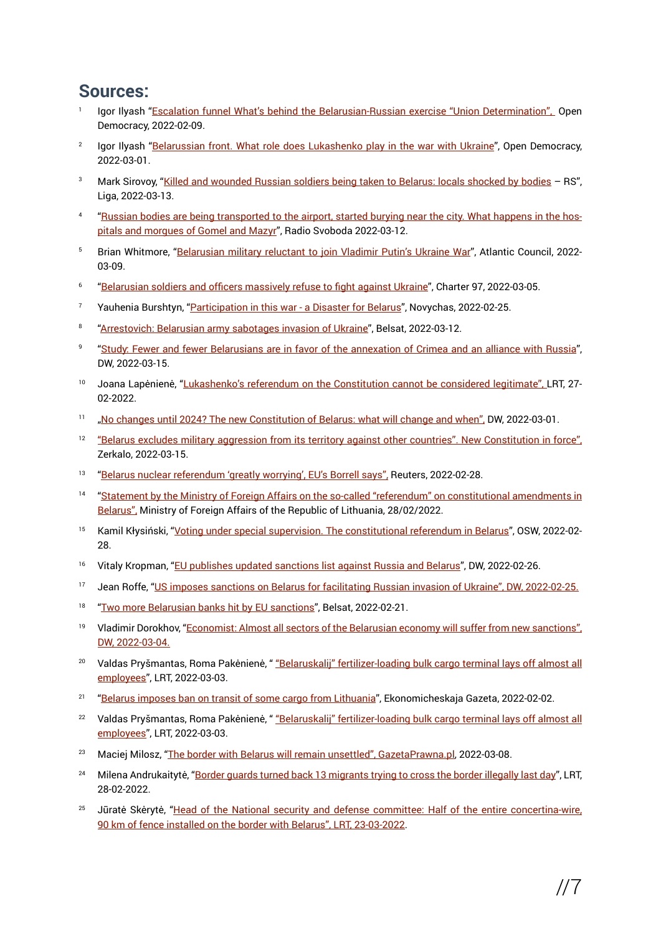#### **Sources:**

- Igor Ilyash "[Escalation funnel What's behind the Belarusian-Russian exercise "Union Determination",](https://www.opendemocracy.net/ru/chto-stoit-za-belorussko-rossiyskimi-ucheniyami-soyuznaya-reshimost/) Open Democracy, 2022-02-09.
- <sup>2</sup> Igor Ilyash "[Belarussian front. What role does Lukashenko play in the war with Ukraine](https://www.opendemocracy.net/ru/kakuyu-rol-v-voyne-s-ukrainoy-igrayet-lukashenko/)", Open Democracy, 2022-03-01.
- Mark Sirovoy, "[Killed and wounded Russian soldiers being taken to Belarus: locals shocked by bodies](https://news.liga.net/politics/news/ubityh-i-ranenyh-rossiyskih-voennyh-vyvozyat-v-belarus-mestnye-v-shoke-ot-trupov-rs)  RS", Liga, 2022-03-13.
- 4 "[Russian bodies are being transported to the airport, started burying near the city. What happens in the hos](https://www.svaboda.org/a/31749881.html)[pitals and morgues of Gomel and Mazyr](https://www.svaboda.org/a/31749881.html)", Radio Svoboda 2022-03-12.
- <sup>5</sup> Brian Whitmore, "[Belarusian military reluctant to join Vladimir Putin's Ukraine War](https://www.atlanticcouncil.org/blogs/belarusalert/belarusian-military-reluctant-to-join-vladimir-putins-ukraine-war/)", Atlantic Council, 2022-03-09.
- <sup>6</sup>["Belarusian soldiers and officers massively refuse to fight against Ukraine](https://charter97.org/ru/news/2022/3/5/457699/)", Charter 97, 2022-03-05.
- <sup>7</sup> Yauhenia Burshtyn, "[Participation in this war a Disaster for Belarus"](https://novychas.online/hramadstva/udzel-u-hetaj-vajne-katastrofa-dlja-belarusi), Novychas, 2022-02-25.
- 8 "[Arrestovich: Belarusian army sabotages invasion of Ukraine](https://belsat.eu/ru/news/12-03-2022-arestovich-belorusskaya-armiya-sabotiruet-vtorzhenie-v-ukrainu/)", Belsat, 2022-03-12.
- <sup>9</sup> "[Study: Fewer and fewer Belarusians are in favor of the annexation of Crimea and an alliance with Russia](https://www.dw.com/ru/issledovanie-vse-menshe-belorusov-za-anneksiju-kryma-i-sojuz-s-rossiej/a-61135459)", DW, 2022-03-15.
- <sup>10</sup> Joana Lapėnienė, "[Lukashenko's referendum on the Constitution cannot be considered legitimate", L](https://www.lrt.lt/naujienos/pasaulyje/6/1628193/lukasenkos-referendumas-del-konstitucijos-negali-buti-laikomas-teisetu)RT, 27-02-2022.
- <sup>11</sup> ["No changes until 2024? The new Constitution of Belarus: what will change and when",](https://www.dw.com/ru/novaja-konstituzija-belarusi-chto-izmenitsia-i-kogda/a-60960524) DW, 2022-03-01.
- <sup>12</sup> ["Belarus excludes military aggression from its territory against other countries". New Constitution in force",](https://news.zerkalo.io/economics/11225.html) Zerkalo, 2022-03-15.
- <sup>13</sup> "[Belarus nuclear referendum 'greatly worrying', EU's Borrell says",](https://www.reuters.com/world/europe/belarus-nuclear-referendum-greatly-worrying-eus-borrell-says-2022-02-28/) Reuters, 2022-02-28.
- <sup>14</sup> ["Statement by the Ministry of Foreign Affairs on the so-called "referendum" on constitutional amendments in](https://www.urm.lt/default/lt/naujienos/uzsienio-reikalu-ministerijos-pareiskimas-del-vadinamojo-referendumo-del-konstitucijos-pataisu-baltarusijoje) [Belarus",](https://www.urm.lt/default/lt/naujienos/uzsienio-reikalu-ministerijos-pareiskimas-del-vadinamojo-referendumo-del-konstitucijos-pataisu-baltarusijoje) Ministry of Foreign Affairs of the Republic of Lithuania, 28/02/2022.
- <sup>15</sup> Kamil Kłysiński, "[Voting under special supervision. The constitutional referendum in Belarus"](https://www.osw.waw.pl/en/publikacje/analyses/2022-02-28/voting-under-special-supervision-constitutional-referendum-belarus), OSW, 2022-02-28.
- <sup>16</sup> Vitaly Kropman, "[EU publishes updated sanctions list against Russia and Belarus"](https://www.dw.com/ru/es-opublikoval-obnovlennyj-sankcionnyj-spisok-protiv-rossii-i-belarusi/a-60928192), DW, 2022-02-26.
- <sup>17</sup> Jean Roffe, "[US imposes sanctions on Belarus for facilitating Russian invasion of Ukraine", DW, 2022-02-25.](https://www.dw.com/ru/ssha-vveli-sankcii-protiv-belarusi-iz-za-sodejstvija-vtorzheniju-rf-v-ukrainu/a-60909144)
- <sup>18</sup> "[Two more Belarusian banks hit by EU sanctions](https://belsat.eu/en/news/21-02-2022-two-more-belarusian-banks-hit-by-eu-sanctions/)", Belsat, 2022-02-21.
- <sup>19</sup> Vladimir Dorokhov, "[Economist: Almost all sectors of the Belarusian economy will suffer from new sanctions",](https://www.dw.com/ru/ekonomist-ot-novyh-sankcij-postradaet-vsja-jekonomika-belarusi/a-61021248) [DW, 2022-03-04.](https://www.dw.com/ru/ekonomist-ot-novyh-sankcij-postradaet-vsja-jekonomika-belarusi/a-61021248)
- <sup>20</sup> Valdas Pryšmantas, Roma Pakėnienė, " ["Belaruskalij" fertilizer-loading bulk cargo terminal lays off almost all](https://www.lrt.lt/naujienos/verslas/4/1633716/belaruskalij-trasas-kroves-biriu-kroviniu-terminalas-atleidzia-beveik-visus-darbuotojus) [employees"](https://www.lrt.lt/naujienos/verslas/4/1633716/belaruskalij-trasas-kroves-biriu-kroviniu-terminalas-atleidzia-beveik-visus-darbuotojus), LRT, 2022-03-03.
- <sup>21</sup> "[Belarus imposes ban on transit of some cargo from Lithuania"](https://neg.by/novosti/otkrytj/belarus-vvodit-zapret-na-tranzit-chasti-gruzov-iz-litvy/), Ekonomicheskaja Gazeta, 2022-02-02.
- <sup>22</sup> Valdas Pryšmantas, Roma Pakėnienė, " ["Belaruskalij" fertilizer-loading bulk cargo terminal lays off almost all](https://www.lrt.lt/naujienos/verslas/4/1633716/belaruskalij-trasas-kroves-biriu-kroviniu-terminalas-atleidzia-beveik-visus-darbuotojus) [employees"](https://www.lrt.lt/naujienos/verslas/4/1633716/belaruskalij-trasas-kroves-biriu-kroviniu-terminalas-atleidzia-beveik-visus-darbuotojus), LRT, 2022-03-03.
- <sup>23</sup> Maciej Milosz, "[The border with Belarus will remain unsettled", GazetaPrawna.pl,](https://www.gazetaprawna.pl/wiadomosci/kraj/artykuly/8374265,granica-z-bialorusia-nielegalne-przejscia-statystyki.html) 2022-03-08.
- <sup>24</sup> Milena Andrukaitytė, "[Border guards turned back 13 migrants trying to cross the border illegally last day"](https://www.lrt.lt/naujienos/lietuvoje/2/1628516/pasienieciai-praejusia-para-apgreze-13-neteisetai-siena-kirsti-bandziusiu-migrantu), LRT, 28-02-2022.
- <sup>25</sup>Jūratė Skėrytė, "[Head of the National security and defense committee: Half of the entire concertina-wire,](https://www.lrt.lt/naujienos/lietuvoje/2/1622848/nsgk-vadovas-pasienyje-su-baltarusija-irengta-puse-visos-koncertinos-90-km-tvoros) 90 [km of fence installed on the border with Belarus", LRT, 23-03-2022.](https://www.lrt.lt/naujienos/lietuvoje/2/1622848/nsgk-vadovas-pasienyje-su-baltarusija-irengta-puse-visos-koncertinos-90-km-tvoros)